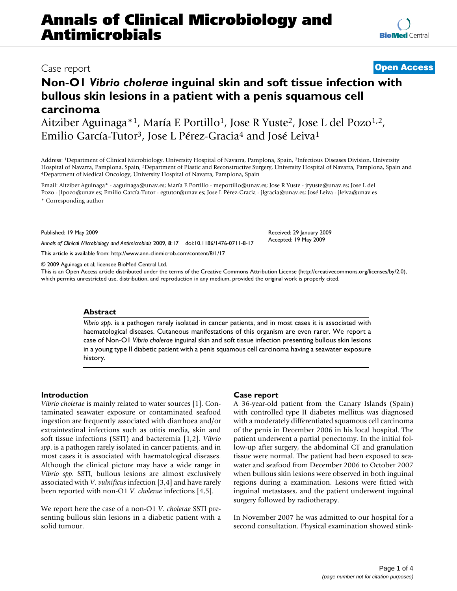# **Annals of Clinical Microbiology and Antimicrobials**

## **Non-O1** *Vibrio cholerae* **inguinal skin and soft tissue infection with bullous skin lesions in a patient with a penis squamous cell carcinoma**

Aitziber Aguinaga\*<sup>1</sup>, María E Portillo<sup>1</sup>, Jose R Yuste<sup>2</sup>, Jose L del Pozo<sup>1,2</sup>, Emilio García-Tutor<sup>3</sup>, Jose L Pérez-Gracia<sup>4</sup> and José Leiva<sup>1</sup>

Address: 1Department of Clinical Microbiology, University Hospital of Navarra, Pamplona, Spain, 2Infectious Diseases Division, University Hospital of Navarra, Pamplona, Spain, <sup>3</sup>Department of Plastic and Reconstructive Surgery, University Hospital of Navarra, Pamplona, Spain and 4Department of Medical Oncology, University Hospital of Navarra, Pamplona, Spai

Email: Aitziber Aguinaga\* - aaguinaga@unav.es; María E Portillo - meportillo@unav.es; Jose R Yuste - jryuste@unav.es; Jose L del Pozo - jlpozo@unav.es; Emilio García-Tutor - egtutor@unav.es; Jose L Pérez-Gracia - jlgracia@unav.es; José Leiva - jleiva@unav.es \* Corresponding author

Published: 19 May 2009

*Annals of Clinical Microbiology and Antimicrobials* 2009, **8**:17 doi:10.1186/1476-0711-8-17

[This article is available from: http://www.ann-clinmicrob.com/content/8/1/17](http://www.ann-clinmicrob.com/content/8/1/17)

© 2009 Aguinaga et al; licensee BioMed Central Ltd.

This is an Open Access article distributed under the terms of the Creative Commons Attribution License [\(http://creativecommons.org/licenses/by/2.0\)](http://creativecommons.org/licenses/by/2.0), which permits unrestricted use, distribution, and reproduction in any medium, provided the original work is properly cited.

#### **Abstract**

*Vibrio spp*. is a pathogen rarely isolated in cancer patients, and in most cases it is associated with haematological diseases. Cutaneous manifestations of this organism are even rarer. We report a case of Non-O1 *Vibrio cholerae* inguinal skin and soft tissue infection presenting bullous skin lesions in a young type II diabetic patient with a penis squamous cell carcinoma having a seawater exposure history.

### **Introduction**

*Vibrio cholerae* is mainly related to water sources [1]. Contaminated seawater exposure or contaminated seafood ingestion are frequently associated with diarrhoea and/or extraintestinal infections such as otitis media, skin and soft tissue infections (SSTI) and bacteremia [1,2]. *Vibrio spp*. is a pathogen rarely isolated in cancer patients, and in most cases it is associated with haematological diseases. Although the clinical picture may have a wide range in *Vibrio spp*. SSTI, bullous lesions are almost exclusively associated with *V. vulnificus* infection [3,4] and have rarely been reported with non-O1 *V. cholerae* infections [4,5].

We report here the case of a non-O1 *V. cholerae* SSTI presenting bullous skin lesions in a diabetic patient with a solid tumour.

### **Case report**

A 36-year-old patient from the Canary Islands (Spain) with controlled type II diabetes mellitus was diagnosed with a moderately differentiated squamous cell carcinoma of the penis in December 2006 in his local hospital. The patient underwent a partial penectomy. In the initial follow-up after surgery, the abdominal CT and granulation tissue were normal. The patient had been exposed to seawater and seafood from December 2006 to October 2007 when bullous skin lesions were observed in both inguinal regions during a examination. Lesions were fitted with inguinal metastases, and the patient underwent inguinal surgery followed by radiotherapy.

In November 2007 he was admitted to our hospital for a second consultation. Physical examination showed stink-

Received: 29 January 2009 Accepted: 19 May 2009

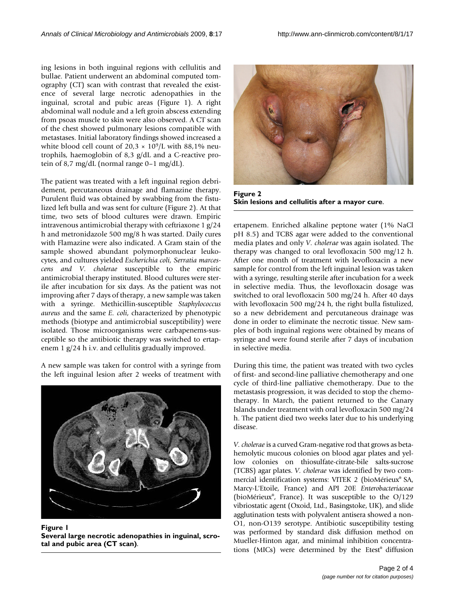ing lesions in both inguinal regions with cellulitis and bullae. Patient underwent an abdominal computed tomography (CT) scan with contrast that revealed the existence of several large necrotic adenopathies in the inguinal, scrotal and pubic areas (Figure 1). A right abdominal wall nodule and a left groin abscess extending from psoas muscle to skin were also observed. A CT scan of the chest showed pulmonary lesions compatible with metastases. Initial laboratory findings showed increased a white blood cell count of  $20.3 \times 10^9$ /L with 88,1% neutrophils, haemoglobin of 8,3 g/dL and a C-reactive protein of 8,7 mg/dL (normal range 0–1 mg/dL).

The patient was treated with a left inguinal region debridement, percutaneous drainage and flamazine therapy. Purulent fluid was obtained by swabbing from the fistulized left bulla and was sent for culture (Figure 2). At that time, two sets of blood cultures were drawn. Empiric intravenous antimicrobial therapy with ceftriaxone 1 g/24 h and metronidazole 500 mg/8 h was started. Daily cures with Flamazine were also indicated. A Gram stain of the sample showed abundant polymorphonuclear leukocytes, and cultures yielded *Escherichia coli, Serratia marcescens and V. cholerae* susceptible to the empiric antimicrobial therapy instituted. Blood cultures were sterile after incubation for six days. As the patient was not improving after 7 days of therapy, a new sample was taken with a syringe. Methicillin-susceptible *Staphylococcus aureus* and the same *E. coli*, characterized by phenotypic methods (biotype and antimicrobial susceptibility) were isolated. Those microorganisms were carbapenems-susceptible so the antibiotic therapy was switched to ertapenem 1 g/24 h i.v. and cellulitis gradually improved.

A new sample was taken for control with a syringe from the left inguinal lesion after 2 weeks of treatment with



**Figure 1** 

**Several large necrotic adenopathies in inguinal, scrotal and pubic area (CT scan)**.



**Figure 2 Skin lesions and cellulitis after a mayor cure**.

ertapenem. Enriched alkaline peptone water (1% NaCl pH 8.5) and TCBS agar were added to the conventional media plates and only *V. cholerae* was again isolated. The therapy was changed to oral levofloxacin 500 mg/12 h. After one month of treatment with levofloxacin a new sample for control from the left inguinal lesion was taken with a syringe, resulting sterile after incubation for a week in selective media. Thus, the levofloxacin dosage was switched to oral levofloxacin 500 mg/24 h. After 40 days with levofloxacin 500 mg/24 h, the right bulla fistulized, so a new debridement and percutaneous drainage was done in order to eliminate the necrotic tissue. New samples of both inguinal regions were obtained by means of syringe and were found sterile after 7 days of incubation in selective media.

During this time, the patient was treated with two cycles of first- and second-line palliative chemotherapy and one cycle of third-line palliative chemotherapy. Due to the metastasis progression, it was decided to stop the chemotherapy. In March, the patient returned to the Canary Islands under treatment with oral levofloxacin 500 mg/24 h. The patient died two weeks later due to his underlying disease.

*V. cholerae* is a curved Gram-negative rod that grows as betahemolytic mucous colonies on blood agar plates and yellow colonies on thiosulfate-citrate-bile salts-sucrose (TCBS) agar plates. *V. cholerae* was identified by two commercial identification systems: VITEK 2 (bioMérieux® SA, Marcy-L'Etoile, France) and API 20E *Enterobacteriaceae* (bioMérieux®, France). It was susceptible to the O/129 vibriostatic agent (Oxoid, Ltd., Basingstoke, UK), and slide agglutination tests with polyvalent antisera showed a non-O1, non-O139 serotype. Antibiotic susceptibility testing was performed by standard disk diffusion method on Mueller-Hinton agar, and minimal inhibition concentrations (MICs) were determined by the Etest® diffusion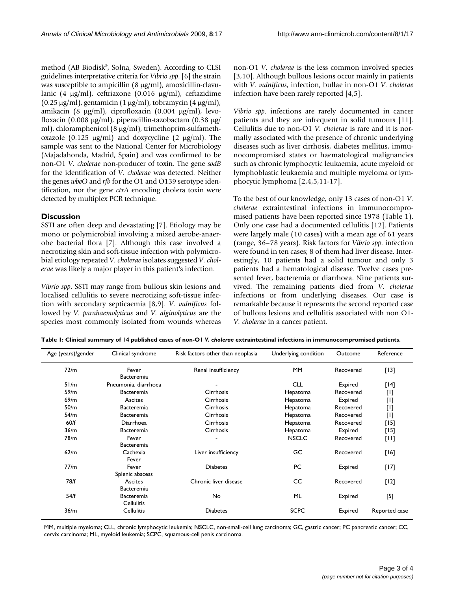method (AB Biodisk®, Solna, Sweden). According to CLSI guidelines interpretative criteria for *Vibrio spp*. [6] the strain was susceptible to ampicillin (8 μg/ml), amoxicillin-clavulanic (4 μg/ml), ceftriaxone (0.016 μg/ml), ceftazidime (0.25 μg/ml), gentamicin (1 μg/ml), tobramycin (4 μg/ml), amikacin (8 μg/ml), ciprofloxacin (0.004 μg/ml), levofloxacin (0.008 μg/ml), piperacillin-tazobactam (0.38 μg/ ml), chloramphenicol (8 μg/ml), trimethoprim-sulfamethoxazole (0.125 μg/ml) and doxycycline (2 μg/ml). The sample was sent to the National Center for Microbiology (Majadahonda, Madrid, Spain) and was confirmed to be non-O1 *V. cholerae* non-producer of toxin. The gene *sodB* for the identification of *V. cholerae* was detected. Neither the genes *wbeO* and *rfb* for the O1 and O139 serotype identification, nor the gene *ctxA* encoding cholera toxin were detected by multiplex PCR technique.

### **Discussion**

SSTI are often deep and devastating [7]. Etiology may be mono or polymicrobial involving a mixed aerobe-anaerobe bacterial flora [7]. Although this case involved a necrotizing skin and soft-tissue infection with polymicrobial etiology repeated *V. cholerae* isolates suggested *V. cholerae* was likely a major player in this patient's infection.

*Vibrio spp*. SSTI may range from bullous skin lesions and localised cellulitis to severe necrotizing soft-tissue infection with secondary septicaemia [8,9]. *V. vulnificus* followed by *V. parahaemolyticus* and *V. alginolyticus* are the species most commonly isolated from wounds whereas

non-O1 *V. cholerae* is the less common involved species [3,10]. Although bullous lesions occur mainly in patients with *V. vulnificus*, infection, bullae in non-O1 *V. cholerae* infection have been rarely reported [4,5].

*Vibrio spp*. infections are rarely documented in cancer patients and they are infrequent in solid tumours [11]. Cellulitis due to non-O1 *V. cholerae* is rare and it is normally associated with the presence of chronic underlying diseases such as liver cirrhosis, diabetes mellitus, immunocompromised states or haematological malignancies such as chronic lymphocytic leukaemia, acute myeloid or lymphoblastic leukaemia and multiple myeloma or lymphocytic lymphoma [2,4,5,11-17].

To the best of our knowledge, only 13 cases of non-O1 *V. cholerae* extraintestinal infections in immunocompromised patients have been reported since 1978 (Table 1). Only one case had a documented cellulitis [12]. Patients were largely male (10 cases) with a mean age of 61 years (range, 36–78 years). Risk factors for *Vibrio spp*. infection were found in ten cases; 8 of them had liver disease. Interestingly, 10 patients had a solid tumour and only 3 patients had a hematological disease. Twelve cases presented fever, bacteremia or diarrhoea. Nine patients survived. The remaining patients died from *V. cholerae* infections or from underlying diseases. Our case is remarkable because it represents the second reported case of bullous lesions and cellulitis associated with non O1- *V. cholerae* in a cancer patient.

| , , , |                      |                       |              |           |               |
|-------|----------------------|-----------------------|--------------|-----------|---------------|
| 72/m  | Fever                | Renal insufficiency   | <b>MM</b>    | Recovered | $[13]$        |
|       | Bacteremia           |                       |              |           |               |
| 51/m  | Pneumonia, diarrhoea |                       | <b>CLL</b>   | Expired   | $[14]$        |
| 59/m  | <b>Bacteremia</b>    | Cirrhosis             | Hepatoma     | Recovered |               |
| 69/m  | Ascites              | Cirrhosis             | Hepatoma     | Expired   |               |
| 50/m  | <b>Bacteremia</b>    | Cirrhosis             | Hepatoma     | Recovered |               |
| 54/m  | <b>Bacteremia</b>    | Cirrhosis             | Hepatoma     | Recovered |               |
| 60/f  | Diarrhoea            | <b>Cirrhosis</b>      | Hepatoma     | Recovered | $[15]$        |
| 36/m  | Bacteremia           | Cirrhosis             | Hepatoma     | Expired   | [15]          |
| 78/m  | Fever                |                       | <b>NSCLC</b> | Recovered | $[11]$        |
|       | Bacteremia           |                       |              |           |               |
| 62/m  | Cachexia             | Liver insufficiency   | GC           | Recovered | [16]          |
|       | Fever                |                       |              |           |               |
| 77/m  | Fever                | <b>Diabetes</b>       | PC           | Expired   | $[17]$        |
|       | Splenic abscess      |                       |              |           |               |
| 78/f  | Ascites              | Chronic liver disease | CC           | Recovered | $[12]$        |
|       | <b>Bacteremia</b>    |                       |              |           |               |
| 54/f  | Bacteremia           | No                    | ML           | Expired   | $^{[5]}$      |
|       | <b>Cellulitis</b>    |                       |              |           |               |
| 36/m  | <b>Cellulitis</b>    | <b>Diabetes</b>       | <b>SCPC</b>  | Expired   | Reported case |
|       |                      |                       |              |           |               |

**Table 1: Clinical summary of 14 published cases of non-O1** *V. cholerae* **extraintestinal infections in immunocompromised patients.**

Age (years)/gender Clinical syndrome Risk factors other than neoplasia Underlying condition Outcome Reference

MM, multiple myeloma; CLL, chronic lymphocytic leukemia; NSCLC, non-small-cell lung carcinoma; GC, gastric cancer; PC pancreatic cancer; CC, cervix carcinoma; ML, myeloid leukemia; SCPC, squamous-cell penis carcinoma.